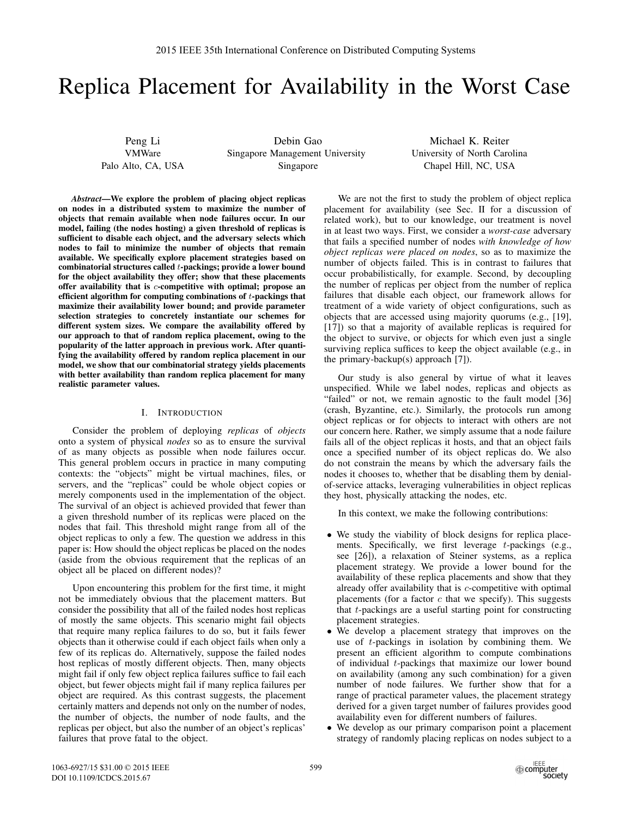# Replica Placement for Availability in the Worst Case

Peng Li VMWare Palo Alto, CA, USA

Debin Gao Singapore Management University Singapore

Michael K. Reiter University of North Carolina Chapel Hill, NC, USA

*Abstract***—We explore the problem of placing object replicas on nodes in a distributed system to maximize the number of objects that remain available when node failures occur. In our model, failing (the nodes hosting) a given threshold of replicas is sufficient to disable each object, and the adversary selects which nodes to fail to minimize the number of objects that remain available. We specifically explore placement strategies based on combinatorial structures called** t**-packings; provide a lower bound for the object availability they offer; show that these placements offer availability that is** c**-competitive with optimal; propose an efficient algorithm for computing combinations of** t**-packings that maximize their availability lower bound; and provide parameter selection strategies to concretely instantiate our schemes for different system sizes. We compare the availability offered by our approach to that of random replica placement, owing to the popularity of the latter approach in previous work. After quantifying the availability offered by random replica placement in our model, we show that our combinatorial strategy yields placements with better availability than random replica placement for many realistic parameter values.**

# I. INTRODUCTION

Consider the problem of deploying *replicas* of *objects* onto a system of physical *nodes* so as to ensure the survival of as many objects as possible when node failures occur. This general problem occurs in practice in many computing contexts: the "objects" might be virtual machines, files, or servers, and the "replicas" could be whole object copies or merely components used in the implementation of the object. The survival of an object is achieved provided that fewer than a given threshold number of its replicas were placed on the nodes that fail. This threshold might range from all of the object replicas to only a few. The question we address in this paper is: How should the object replicas be placed on the nodes (aside from the obvious requirement that the replicas of an object all be placed on different nodes)?

Upon encountering this problem for the first time, it might not be immediately obvious that the placement matters. But consider the possibility that all of the failed nodes host replicas of mostly the same objects. This scenario might fail objects that require many replica failures to do so, but it fails fewer objects than it otherwise could if each object fails when only a few of its replicas do. Alternatively, suppose the failed nodes host replicas of mostly different objects. Then, many objects might fail if only few object replica failures suffice to fail each object, but fewer objects might fail if many replica failures per object are required. As this contrast suggests, the placement certainly matters and depends not only on the number of nodes, the number of objects, the number of node faults, and the replicas per object, but also the number of an object's replicas' failures that prove fatal to the object.

We are not the first to study the problem of object replica placement for availability (see Sec. II for a discussion of related work), but to our knowledge, our treatment is novel in at least two ways. First, we consider a *worst-case* adversary that fails a specified number of nodes *with knowledge of how object replicas were placed on nodes*, so as to maximize the number of objects failed. This is in contrast to failures that occur probabilistically, for example. Second, by decoupling the number of replicas per object from the number of replica failures that disable each object, our framework allows for treatment of a wide variety of object configurations, such as objects that are accessed using majority quorums (e.g., [19], [17]) so that a majority of available replicas is required for the object to survive, or objects for which even just a single surviving replica suffices to keep the object available (e.g., in the primary-backup $(s)$  approach  $[7]$ ).

Our study is also general by virtue of what it leaves unspecified. While we label nodes, replicas and objects as "failed" or not, we remain agnostic to the fault model [36] (crash, Byzantine, etc.). Similarly, the protocols run among object replicas or for objects to interact with others are not our concern here. Rather, we simply assume that a node failure fails all of the object replicas it hosts, and that an object fails once a specified number of its object replicas do. We also do not constrain the means by which the adversary fails the nodes it chooses to, whether that be disabling them by denialof-service attacks, leveraging vulnerabilities in object replicas they host, physically attacking the nodes, etc.

In this context, we make the following contributions:

- We study the viability of block designs for replica placements. Specifically, we first leverage t-packings (e.g., see [26]), a relaxation of Steiner systems, as a replica placement strategy. We provide a lower bound for the availability of these replica placements and show that they already offer availability that is c-competitive with optimal placements (for a factor  $c$  that we specify). This suggests that t-packings are a useful starting point for constructing placement strategies.
- We develop a placement strategy that improves on the use of  $t$ -packings in isolation by combining them. We present an efficient algorithm to compute combinations of individual t-packings that maximize our lower bound on availability (among any such combination) for a given number of node failures. We further show that for a range of practical parameter values, the placement strategy derived for a given target number of failures provides good availability even for different numbers of failures.
- We develop as our primary comparison point a placement strategy of randomly placing replicas on nodes subject to a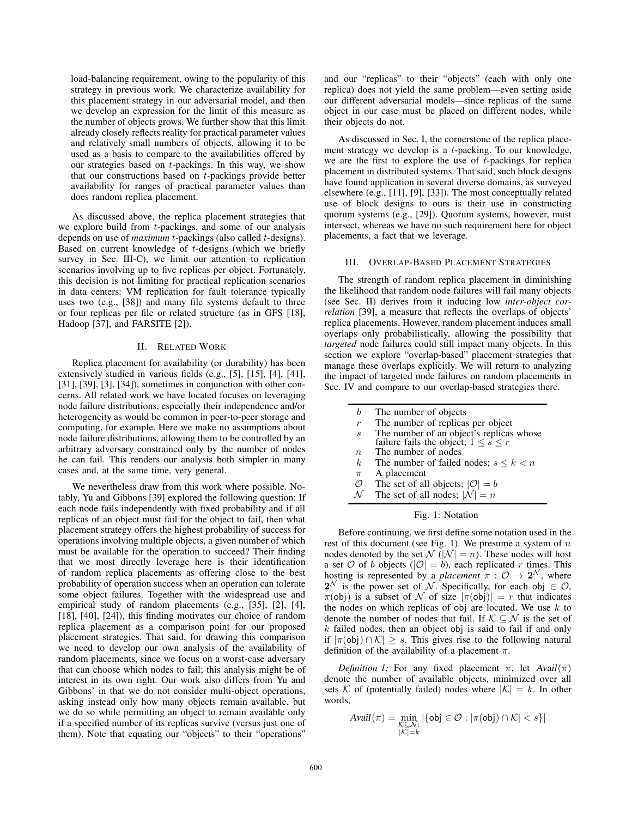load-balancing requirement, owing to the popularity of this strategy in previous work. We characterize availability for this placement strategy in our adversarial model, and then we develop an expression for the limit of this measure as the number of objects grows. We further show that this limit already closely reflects reality for practical parameter values and relatively small numbers of objects, allowing it to be used as a basis to compare to the availabilities offered by our strategies based on  $t$ -packings. In this way, we show that our constructions based on  $t$ -packings provide better availability for ranges of practical parameter values than does random replica placement.

As discussed above, the replica placement strategies that we explore build from *t*-packings, and some of our analysis depends on use of *maximum t*-packings (also called *t*-designs). Based on current knowledge of t-designs (which we briefly survey in Sec. III-C), we limit our attention to replication scenarios involving up to five replicas per object. Fortunately, this decision is not limiting for practical replication scenarios in data centers: VM replication for fault tolerance typically uses two (e.g., [38]) and many file systems default to three or four replicas per file or related structure (as in GFS [18], Hadoop [37], and FARSITE [2]).

# II. RELATED WORK

Replica placement for availability (or durability) has been extensively studied in various fields (e.g., [5], [15], [4], [41], [31], [39], [3], [34]), sometimes in conjunction with other concerns. All related work we have located focuses on leveraging node failure distributions, especially their independence and/or heterogeneity as would be common in peer-to-peer storage and computing, for example. Here we make no assumptions about node failure distributions, allowing them to be controlled by an arbitrary adversary constrained only by the number of nodes he can fail. This renders our analysis both simpler in many cases and, at the same time, very general.

We nevertheless draw from this work where possible. Notably, Yu and Gibbons [39] explored the following question: If each node fails independently with fixed probability and if all replicas of an object must fail for the object to fail, then what placement strategy offers the highest probability of success for operations involving multiple objects, a given number of which must be available for the operation to succeed? Their finding that we most directly leverage here is their identification of random replica placements as offering close to the best probability of operation success when an operation can tolerate some object failures. Together with the widespread use and empirical study of random placements (e.g., [35], [2], [4], [18], [40], [24]), this finding motivates our choice of random replica placement as a comparison point for our proposed placement strategies. That said, for drawing this comparison we need to develop our own analysis of the availability of random placements, since we focus on a worst-case adversary that can choose which nodes to fail; this analysis might be of interest in its own right. Our work also differs from Yu and Gibbons' in that we do not consider multi-object operations, asking instead only how many objects remain available, but we do so while permitting an object to remain available only if a specified number of its replicas survive (versus just one of them). Note that equating our "objects" to their "operations"

and our "replicas" to their "objects" (each with only one replica) does not yield the same problem—even setting aside our different adversarial models—since replicas of the same object in our case must be placed on different nodes, while their objects do not.

As discussed in Sec. I, the cornerstone of the replica placement strategy we develop is a t-packing. To our knowledge, we are the first to explore the use of  $t$ -packings for replica placement in distributed systems. That said, such block designs have found application in several diverse domains, as surveyed elsewhere (e.g., [11], [9], [33]). The most conceptually related use of block designs to ours is their use in constructing quorum systems (e.g., [29]). Quorum systems, however, must intersect, whereas we have no such requirement here for object placements, a fact that we leverage.

## III. OVERLAP-BASED PLACEMENT STRATEGIES

The strength of random replica placement in diminishing the likelihood that random node failures will fail many objects (see Sec. II) derives from it inducing low *inter-object correlation* [39], a measure that reflects the overlaps of objects' replica placements. However, random placement induces small overlaps only probabilistically, allowing the possibility that *targeted* node failures could still impact many objects. In this section we explore "overlap-based" placement strategies that manage these overlaps explicitly. We will return to analyzing the impact of targeted node failures on random placements in Sec. IV and compare to our overlap-based strategies there.

- b The number of objects
- $r$  The number of replicas per object
- s The number of an object's replicas whose
- failure fails the object;  $1 \leq s \leq r$ <br>*n* The number of nodes
- 
- k The number of failed nodes;  $s \leq k \leq n$
- $\pi$  A placement
- $\mathcal{O}$  The set of all objects;  $|\mathcal{O}| = b$
- $\mathcal N$  The set of all nodes;  $|\mathcal N| = n$

# Fig. 1: Notation

Before continuing, we first define some notation used in the rest of this document (see Fig. 1). We presume a system of  $n$ nodes denoted by the set  $\mathcal{N}(\mathcal{N}| = n)$ . These nodes will host a set  $\mathcal O$  of b objects ( $|\mathcal O|=b$ ), each replicated r times. This hosting is represented by a *placement*  $\pi$  :  $\mathcal{O} \rightarrow 2^{\mathcal{N}}$ , where  $2^{\mathcal{N}}$  is the power set of N. Specifically, for each obj  $\in \mathcal{O}$ ,  $\pi$ (obj) is a subset of N of size  $|\pi$ (obj)| = r that indicates the nodes on which replicas of obj are located. We use  $k$  to denote the number of nodes that fail. If  $K \subseteq \mathcal{N}$  is the set of  $k$  failed nodes, then an object obj is said to fail if and only if  $|\pi({\rm obj}) \cap \mathcal{K}| > s$ . This gives rise to the following natural definition of the availability of a placement  $\pi$ .

*Definition 1:* For any fixed placement  $\pi$ , let Avail( $\pi$ ) denote the number of available objects, minimized over all sets K of (potentially failed) nodes where  $|\mathcal{K}| = k$ . In other words,

$$
Avail(\pi) = \min_{\substack{\mathcal{K} \subseteq \mathcal{N}: \\ |\mathcal{K}| = k}} |\{\text{obj} \in \mathcal{O} : |\pi(\text{obj}) \cap \mathcal{K}| < s\}|
$$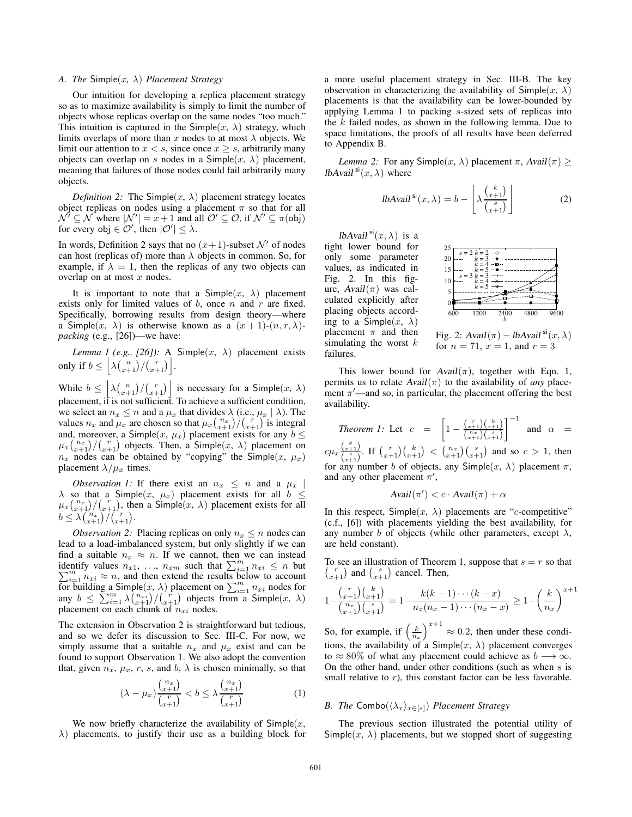# *A. The* Simple(x*,* λ) *Placement Strategy*

Our intuition for developing a replica placement strategy so as to maximize availability is simply to limit the number of objects whose replicas overlap on the same nodes "too much." This intuition is captured in the  $Simple(x, \lambda)$  strategy, which limits overlaps of more than x nodes to at most  $\lambda$  objects. We limit our attention to  $x < s$ , since once  $x \geq s$ , arbitrarily many objects can overlap on s nodes in a Simple $(x, \lambda)$  placement, meaning that failures of those nodes could fail arbitrarily many objects.

*Definition 2:* The Simple $(x, \lambda)$  placement strategy locates object replicas on nodes using a placement  $\pi$  so that for all  $\mathcal{N}' \subseteq \mathcal{N}$  where  $|\mathcal{N}'| = x + 1$  and all  $\mathcal{O}' \subseteq \mathcal{O}$ , if  $\mathcal{N}' \subseteq \pi(\text{obj})$ for every obj  $\in \mathcal{O}'$ , then  $|\mathcal{O}'| \leq \lambda$ .

In words, Definition 2 says that no  $(x+1)$ -subset N' of nodes can host (replicas of) more than  $\lambda$  objects in common. So, for example, if  $\lambda = 1$ , then the replicas of any two objects can overlap on at most  $x$  nodes.

It is important to note that a Simple $(x, \lambda)$  placement exists only for limited values of  $b$ , once  $n$  and  $r$  are fixed. Specifically, borrowing results from design theory—where a Simple $(x, \lambda)$  is otherwise known as a  $(x + 1)$ *-* $(n, r, \lambda)$ *packing* (e.g., [26])—we have:

*Lemma 1 (e.g., [26]):* A Simple $(x, \lambda)$  placement exists only if  $b \leq \left[ \frac{\lambda \binom{n}{x+1}}{\binom{r}{x+1}} \right]$ .

While  $b \leq \left[ \lambda {n \choose x+1} / {r \choose x+1} \right]$  is necessary for a Simple $(x, \lambda)$ placement, it is not sufficient. To achieve a sufficient condition, we select an  $n_x \le n$  and a  $\mu_x$  that divides  $\lambda$  (i.e.,  $\mu_x | \lambda$ ). The values  $n_x$  and  $\mu_x$  are chosen so that  $\mu_x \frac{n_x}{x+1}$   $\frac{n_x}{x+1}$  is integral and, moreover, a Simple $(x, \mu_x)$  placement exists for any  $b \leq$  $\mu_x\binom{n_x}{x+1}/\binom{r}{x+1}$  objects. Then, a Simple $(x, \lambda)$  placement on  $n_x$  nodes can be obtained by "copying" the Simple(x,  $\mu_x$ ) placement  $\lambda/\mu_x$  times.

*Observation 1:* If there exist an  $n_x \leq n$  and a  $\mu_x$  $\lambda$  so that a Simple(x,  $\mu_x$ ) placement exists for all  $b \leq$  $\mu_x\binom{n_x}{x+1}/\binom{r}{x+1}$ , then a Simple(x,  $\lambda$ ) placement exists for all  $b \leq \lambda {n_x \choose x+1} / {r \choose x+1}.$ 

*Observation 2:* Placing replicas on only  $n_x \leq n$  nodes can lead to a load-imbalanced system, but only slightly if we can find a suitable  $n_x \approx n$ . If we cannot, then we can instead identify values  $n_{x1}, \ldots, n_{xm}$  such that  $\sum_{i=1}^{m} n_{xi} \leq n$  but  $\sum_{i=1}^{m} n_{xi} \approx n$ , and then extend the results below to account  $\sum_{i=1}^{m} n_{xi} \approx n$ , and then extend the results below to account  $\sum_{i=1}^{n} n_{xi}$  is  $n$ , and then extend the results seem to detect the detection any  $b \le \sum_{i=1}^{m} \lambda {n_{xi} \choose x+1} / {r \choose x+1}$  objects from a Simple $(x, \lambda)$ <br>placement on each chunk of  $n_{xi}$  nodes.

The extension in Observation 2 is straightforward but tedious, and so we defer its discussion to Sec. III-C. For now, we simply assume that a suitable  $n_x$  and  $\mu_x$  exist and can be found to support Observation 1. We also adopt the convention that, given  $n_x$ ,  $\mu_x$ , r, s, and b,  $\lambda$  is chosen minimally, so that

$$
(\lambda - \mu_x) \frac{\binom{n_x}{x+1}}{\binom{r}{x+1}} < b \le \lambda \frac{\binom{n_x}{x+1}}{\binom{r}{x+1}} \tag{1}
$$

We now briefly characterize the availability of  $Simple(x,$  $\lambda$ ) placements, to justify their use as a building block for a more useful placement strategy in Sec. III-B. The key observation in characterizing the availability of  $Simple(x, \lambda)$ placements is that the availability can be lower-bounded by applying Lemma 1 to packing s-sized sets of replicas into the k failed nodes, as shown in the following lemma. Due to space limitations, the proofs of all results have been deferred to Appendix B.

*Lemma 2:* For any Simple $(x, \lambda)$  placement  $\pi$ , Avail $(\pi) \ge$ *lbAvail*<sup>si</sup> $(x, \lambda)$  where

*lb*Avail<sup>si</sup>(x, 
$$
\lambda
$$
) = b -  $\left[ \lambda \frac{\binom{k}{x+1}}{\binom{s}{x+1}} \right]$  (2)

*lbAvail*<sup>si</sup> $(x, \lambda)$  is a tight lower bound for only some parameter values, as indicated in Fig. 2. In this figure,  $Avail(\pi)$  was calculated explicitly after placing objects according to a Simple $(x, \lambda)$ placement  $\pi$  and then simulating the worst  $k$ failures.



Fig. 2: Avail $(\pi)$  – lbAvail <sup>si</sup> $(x, \lambda)$ for  $n = 71$ ,  $x = 1$ , and  $r = 3$ 

This lower bound for  $Avail(\pi)$ , together with Eqn. 1, permits us to relate  $Avail(\pi)$  to the availability of *any* placement  $\pi'$ —and so, in particular, the placement offering the best availability.

*Theorem 1:* Let  $c = \left[1 - \frac{\binom{x}{x+1}\binom{k}{x+1}}{\binom{n}{x}\binom{s}{x+1}}\right]$  $\binom{n_x}{x+1}\binom{s}{x+1}$  $\int^{-1}$  and  $\alpha$  =  $c\mu_x \frac{\binom{k}{x+1}}{\binom{s}{x+1}}$  $\frac{\binom{x}{x+1}}{\binom{s}{x+1}}$ . If  $\binom{r}{x+1}\binom{k}{x+1} < \binom{n_x}{x+1}\binom{s}{x+1}$  and so  $c > 1$ , then for any number b of objects, any Simple $(x, \lambda)$  placement  $\pi$ , and any other placement  $\pi'$ ,

$$
Avail(\pi') < c \cdot Avail(\pi) + \alpha
$$

In this respect,  $Simple(x, \lambda)$  placements are "c-competitive" (c.f., [6]) with placements yielding the best availability, for any number b of objects (while other parameters, except  $\lambda$ , are held constant).

To see an illustration of Theorem 1, suppose that  $s = r$  so that  $\begin{pmatrix} r \\ x+1 \end{pmatrix}$  and  $\begin{pmatrix} s \\ x+1 \end{pmatrix}$  cancel. Then,

$$
1 - \frac{\binom{r}{x+1}\binom{k}{x+1}}{\binom{n_x}{x+1}\binom{s}{x+1}} = 1 - \frac{k(k-1)\cdots(k-x)}{n_x(n_x-1)\cdots(n_x-x)} \ge 1 - \left(\frac{k}{n_x}\right)^{x+1}
$$

So, for example, if  $\left(\frac{k}{n_x}\right)^{x+1} \approx 0.2$ , then under these conditions, the availability of a Simple $(x, \lambda)$  placement converges to  $\approx 80\%$  of what any placement could achieve as  $b \rightarrow \infty$ . On the other hand, under other conditions (such as when  $s$  is small relative to  $r$ ), this constant factor can be less favorable.

# *B. The*  $Comb_0(\langle \lambda_x \rangle_{x \in [s]})$  *Placement Strategy*

The previous section illustrated the potential utility of Simple(x,  $\lambda$ ) placements, but we stopped short of suggesting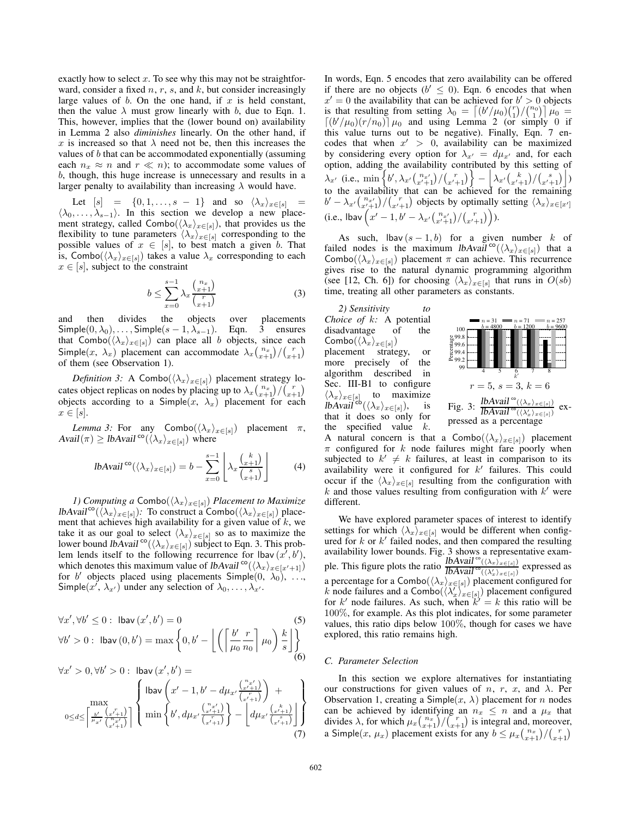exactly how to select  $x$ . To see why this may not be straightforward, consider a fixed  $n, r, s$ , and  $k$ , but consider increasingly large values of  $b$ . On the one hand, if  $x$  is held constant, then the value  $\lambda$  must grow linearly with b, due to Eqn. 1. This, however, implies that the (lower bound on) availability in Lemma 2 also *diminishes* linearly. On the other hand, if x is increased so that  $\lambda$  need not be, then this increases the values of b that can be accommodated exponentially (assuming each  $n_x \approx n$  and  $r \ll n$ ); to accommodate some values of b, though, this huge increase is unnecessary and results in a larger penalty to availability than increasing  $\lambda$  would have.

Let  $[s] = \{0, 1, \ldots, s - 1\}$  and so  $\langle \lambda_x \rangle_{x \in [s]} =$  $\langle \lambda_0,\ldots,\lambda_{s-1}\rangle$ . In this section we develop a new placement strategy, called Combo $(\langle \lambda_x \rangle_{x \in [s]})$ , that provides us the flexibility to tune parameters  $\langle \lambda_x \rangle_{x \in [s]}$  corresponding to the possible values of  $x \in [s]$ , to best match a given b. That is, Combo $(\langle \lambda_x \rangle_{x \in [s]})$  takes a value  $\lambda_x$  corresponding to each  $x \in [s]$ , subject to the constraint

$$
b \le \sum_{x=0}^{s-1} \lambda_x \frac{\binom{n_x}{x+1}}{\binom{r}{x+1}}
$$
(3)

and then divides the objects over placements Simple $(0, \lambda_0), \ldots$ , Simple $(s - 1, \lambda_{s-1})$ . Eqn. 3 ensures that  $\text{Combo}(\langle \lambda_x \rangle_{x \in [s]})$  can place all b objects, since each Simple(x,  $\lambda_x$ ) placement can accommodate  $\lambda_x(x+1)/(x+1)$ of them (see Observation 1).

*Definition 3:* A Combo $(\langle \lambda_x \rangle_{x \in [s]})$  placement strategy locates object replicas on nodes by placing up to  $\lambda_x \binom{n_x}{x+1} \binom{r}{x+1}$ objects according to a Simple $(x, \lambda_x)$  placement for each  $x \in [s]$ .

*Lemma 3:* For any Combo $(\langle \lambda_x \rangle_{x \in [s]})$  placement  $\pi$ , Avail $(\pi) \geq lb$ Avail <sup>co</sup> $(\langle \lambda_x \rangle_{x \in [s]})$  where

$$
IbAvail^{co}(\langle \lambda_x \rangle_{x \in [s]}) = b - \sum_{x=0}^{s-1} \left[ \lambda_x \frac{\binom{k}{x+1}}{\binom{s}{x+1}} \right] \tag{4}
$$

*1) Computing a* Combo $(\langle \lambda_x \rangle_{x \in [s]} )$  *Placement to Maximize lbAvail*<sup>co</sup>( $\langle \lambda_x \rangle_{x \in [s]}$ ): To construct a Combo( $\langle \lambda_x \rangle_{x \in [s]}$ ) placement that achieves high availability for a given value of  $k$ , we take it as our goal to select  $\langle \lambda_x \rangle_{x \in [s]}$  so as to maximize the lower bound *lbAvail* <sup>co</sup>( $\langle \lambda_x \rangle_{x \in [s]}$ ) subject to Eqn. 3. This problem lends itself to the following recurrence for  $\theta$ lbav $(x', b')$ , which denotes this maximum value of *lbAvail* <sup>co</sup>( $\langle \lambda_x \rangle_{x \in [x'+1]}$ ) for b' objects placed using placements Simple(0,  $\lambda_0$ ), ..., Simple(x',  $\lambda_{x'}$ ) under any selection of  $\lambda_0, \ldots, \lambda_{x'}$ .

$$
\forall x', \forall b' \le 0: \text{ \text{lbav}}(x', b') = 0 \tag{5}
$$
  

$$
\forall b' > 0: \text{lbav}(0, b') = \max \left\{ 0, b' - \left\lfloor \left( \left\lceil \frac{b'}{\mu_0} \frac{r}{n_0} \right\rceil \mu_0 \right) \frac{k}{s} \right\rfloor \right\} \tag{6}
$$

 $\forall x' > 0, \forall b' > 0 : \mathsf{lbav}\,(x',b') = 0$ 

$$
\max_{0 \le d \le \left\lceil \frac{b'}{\mu_{x'}} \frac{\left(\frac{r}{x'} + 1\right)}{\left(\frac{r}{x'} + 1\right)}\right\rceil} \left\{ \min\left\{b', d\mu_{x'} \frac{\left(\frac{n}{x'} + 1\right)}{\left(\frac{r}{x'} + 1\right)}\right\} - \left\lfloor d\mu_{x'} \frac{\left(\frac{n}{x'} + 1\right)}{\left(\frac{r}{x'} + 1\right)}\right\} \right\}
$$
\n(7)

In words, Eqn. 5 encodes that zero availability can be offered if there are no objects ( $b' \leq 0$ ). Eqn. 6 encodes that when  $x' = 0$  the availability that can be achieved for  $b' > 0$  objects is that resulting from setting  $\lambda_0 = \left[ \frac{b' / \mu_0}{r_1} \right] \begin{pmatrix} r_0 \\ r_1 \end{pmatrix} =$  $[(b'/\mu_0)(r/n_0)]$   $\mu_0$  and using Lemma 2 (or simply 0 if this value turns out to be negative). Finally, Eqn. 7 encodes that when  $x' > 0$ , availability can be maximized by considering every option for  $\lambda_{x'} = d\mu_{x'}$  and, for each option, adding the availability contributed by this setting of  $\lambda_{x'}$  (i.e.,  $\min \left\{ b', \lambda_{x'} {\frac{n_{x'}}{x'+1}} / {\frac{r}{x'+1}} \right\} - \left| \lambda_{x'} {\frac{k}{x'+1}} / {\frac{s}{x'+1}} \right|$ ) to the availability that can be achieved for the remaining  $b' - \lambda_{x'} {n_{x'1} \choose x'+1} / {r \choose x'+1}$  objects by optimally setting  $\langle \lambda_{x} \rangle_{x \in [x']}$ (i.e., Ibav  $\left(x' - 1, b' - \lambda_{x'} {n_{x' + 1} \choose x' + 1} / {r \choose x' + 1}\right)$ ).

As such, lbav  $(s - 1, b)$  for a given number k of failed nodes is the maximum *lbAvail* <sup>co</sup>( $\langle \lambda_x \rangle_{x \in [s]}$ ) that a Combo( $\langle \lambda_x \rangle_{x \in [s]}$ ) placement  $\pi$  can achieve. This recurrence gives rise to the natural dynamic programming algorithm (see [12, Ch. 6]) for choosing  $\langle \lambda_x \rangle_{x \in [s]}$  that runs in  $O(sb)$ time, treating all other parameters as constants.

*2) Sensitivity to Choice of* k*:* A potential disadvantage of the  $\mathsf{Combo}(\langle \lambda_x \rangle_{x \in [s]})$ placement strategy, or more precisely of the algorithm described in Sec. III-B1 to configure  $\langle \lambda_x \rangle_{x \in [s]}$  to maximize  $\lim_{x \to \infty}$ <br>lbAvail<sup>co</sup>( $\langle \lambda_x \rangle_{x \in [s]}$ ), is that it does so only for the specified value  $k$ .



Fig. 3:  $\frac{\text{lbAvailable}^{\infty}(\langle \lambda_x \rangle_{x \in [s])}}{\text{lbAvailable}^{\infty}(\langle \lambda'_x \rangle_{x \in [s])}}$  expressed as a percentage

A natural concern is that a Combo $(\langle \lambda_x \rangle_{x \in [s]})$  placement  $\pi$  configured for k node failures might fare poorly when subjected to  $k' \neq k$  failures, at least in comparison to its availability were it configured for  $k'$  failures. This could occur if the  $\langle \lambda_x \rangle_{x \in [s]}$  resulting from the configuration with  $k$  and those values resulting from configuration with  $k'$  were different.

We have explored parameter spaces of interest to identify settings for which  $\langle \lambda_x \rangle_{x \in [s]}$  would be different when configured for  $k$  or  $k'$  failed nodes, and then compared the resulting availability lower bounds. Fig. 3 shows a representative example. This figure plots the ratio  $\frac{[bA}{v}$ il  $\frac{[(\lambda_x)_{x \in [s]}]}{((\lambda'_x)_{x \in [s]})}$  expressed as a percentage for a Combo $(\langle \lambda_x \rangle_{x \in [s]})$  placement configured for k node failures and a Combo $(\langle \lambda_x' \rangle_{x \in [s]}')$  placement configured for k' node failures. As such, when  $k' = k$  this ratio will be 100%, for example. As this plot indicates, for some parameter values, this ratio dips below 100%, though for cases we have explored, this ratio remains high.

#### *C. Parameter Selection*

In this section we explore alternatives for instantiating our constructions for given values of *n*, *r*, *x*, and  $\lambda$ . Per Observation 1, creating a Simple $(x, \lambda)$  placement for n nodes can be achieved by identifying an  $n_x \leq n$  and a  $\mu_x$  that divides  $\lambda$ , for which  $\mu_x \binom{n_x}{x+1} / \binom{r}{x+1}$  is integral and, moreover, a Simple $(x, \mu_x)$  placement exists for any  $b \leq \mu_x \binom{n_x}{x+1} / \binom{r}{x+1}$ 

 $\lambda$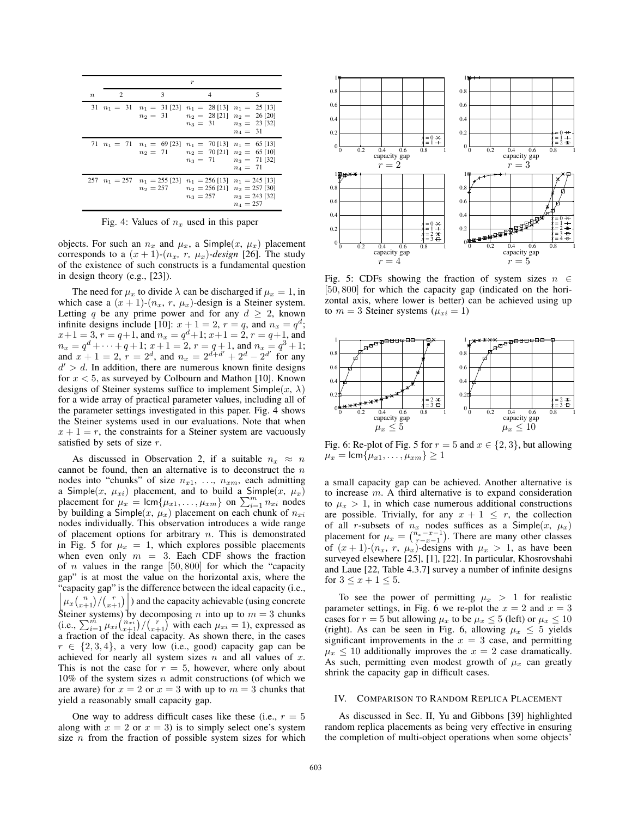|                  |   |                                    | $\boldsymbol{r}$                                                                            |                                                     |
|------------------|---|------------------------------------|---------------------------------------------------------------------------------------------|-----------------------------------------------------|
| $\boldsymbol{n}$ | 2 | 3                                  | 4                                                                                           | 5                                                   |
|                  |   | $31\ \ n_1 = 31\ \ n_1 = 31$ [23]  | $n_1 = 28$ [13]<br>$n_2 = 31$ $n_2 = 28$ [21] $n_2 = 26$ [20]<br>$n_3 = 31$ $n_3 = 23$ [32] | $n_1 = 25$ [13]<br>$n_4 = 31$                       |
|                  |   | 71 $n_1 = 71$ $n_1 = 69$ [23]      | $n_1 = 70$ [13]<br>$n_2 = 71$ $n_2 = 70$ [21] $n_2 = 65$ [10]<br>$n_3 = 71$ $n_3 = 71$ [32] | $n_1 = 65$ [13]<br>$n_4 = 71$                       |
|                  |   | $257$ $n_1 = 257$ $n_1 = 255$ [23] | $n_1 = 256$ [13]<br>$n_2 = 257$ $n_2 = 256$ [21]<br>$n_3 = 257$ $n_3 = 243$ [32]            | $n_1 = 245$ [13]<br>$n_2 = 257$ [30]<br>$n_4 = 257$ |

Fig. 4: Values of  $n_x$  used in this paper

objects. For such an  $n_x$  and  $\mu_x$ , a Simple $(x, \mu_x)$  placement corresponds to a  $(x + 1)$ - $(n_x, r, \mu_x)$ -design [26]. The study of the existence of such constructs is a fundamental question in design theory (e.g., [23]).

The need for  $\mu_x$  to divide  $\lambda$  can be discharged if  $\mu_x = 1$ , in which case a  $(x + 1)$ - $(n_x, r, \mu_x)$ -design is a Steiner system. Letting q be any prime power and for any  $d \geq 2$ , known infinite designs include [10]:  $x + 1 = 2$ ,  $r = q$ , and  $n_x = q^d$ ;  $x+1=3, r=q+1,$  and  $n_x=q^d+1; x+1=2, r=q+1,$  and  $n_x = q^d + \cdots + q + 1; x+1 = 2, r = q+1, \text{ and } n_x = q^3 + 1;$ and  $x + 1 = 2$ ,  $r = 2^d$ , and  $n_x = 2^{d+d'} + 2^d - 2^{d'}$  for any  $d' > d$ . In addition, there are numerous known finite designs for  $x < 5$ , as surveyed by Colbourn and Mathon [10]. Known designs of Steiner systems suffice to implement  $Simple(x, \lambda)$ for a wide array of practical parameter values, including all of the parameter settings investigated in this paper. Fig. 4 shows the Steiner systems used in our evaluations. Note that when  $x + 1 = r$ , the constraints for a Steiner system are vacuously satisfied by sets of size  $r$ .

As discussed in Observation 2, if a suitable  $n_x \approx n$ cannot be found, then an alternative is to deconstruct the  $n$ nodes into "chunks" of size  $n_{x1}$ , ...,  $n_{xm}$ , each admitting a Simple $(x, \mu_{xi})$  placement, and to build a Simple $(x, \mu_x)$ placement for  $\mu_x = \text{lcm}\{\mu_{x1},...,\mu_{xm}\}$  on  $\sum_{i=1}^{m} n_{xi}$  nodes by building a Simple(x,  $\mu_x$ ) placement on each chunk of  $n_{xi}$ nodes individually. This observation introduces a wide range of placement options for arbitrary  $n$ . This is demonstrated in Fig. 5 for  $\mu_x = 1$ , which explores possible placements when even only  $m = 3$ . Each CDF shows the fraction of *n* values in the range  $[50, 800]$  for which the "capacity" gap" is at most the value on the horizontal axis, where the "capacity gap" is the difference between the ideal capacity (i.e.,  $\left|\mu_x\binom{n}{x+1}/\binom{r}{x+1}\right|$  and the capacity achievable (using concrete Steiner systems) by decomposing n into up to  $m = 3$  chunks (i.e.,  $\sum_{i=1}^{m} \mu_{xi} {n_{xi} \choose x+1} / {r \choose x+1}$  with each  $\mu_{xi} = 1$ ), expressed as a fraction of the ideal capacity. As shown there, in the cases  $r \in \{2, 3, 4\}$ , a very low (i.e., good) capacity gap can be achieved for nearly all system sizes  $n$  and all values of  $x$ . This is not the case for  $r = 5$ , however, where only about 10% of the system sizes  $n$  admit constructions (of which we are aware) for  $x = 2$  or  $x = 3$  with up to  $m = 3$  chunks that yield a reasonably small capacity gap.

One way to address difficult cases like these (i.e.,  $r = 5$ ) along with  $x = 2$  or  $x = 3$ ) is to simply select one's system size  $n$  from the fraction of possible system sizes for which



Fig. 5: CDFs showing the fraction of system sizes  $n \in$ [50, 800] for which the capacity gap (indicated on the horizontal axis, where lower is better) can be achieved using up to  $m = 3$  Steiner systems  $(\mu_{xi} = 1)$ 



Fig. 6: Re-plot of Fig. 5 for  $r = 5$  and  $x \in \{2, 3\}$ , but allowing  $\mu_x = \text{lcm}\{\mu_{x1}, \ldots, \mu_{xm}\} \ge 1$ 

a small capacity gap can be achieved. Another alternative is to increase  $m$ . A third alternative is to expand consideration to  $\mu_x > 1$ , in which case numerous additional constructions are possible. Trivially, for any  $x + 1 \leq r$ , the collection of all r-subsets of  $n_x$  nodes suffices as a Simple(x,  $\mu_x$ ) placement for  $\mu_x = \begin{pmatrix} n_x - x - 1 \\ r - x - 1 \end{pmatrix}$ . There are many other classes of  $(x + 1)$ - $(n_x, r, \mu_x)$ -designs with  $\mu_x > 1$ , as have been surveyed elsewhere [25], [1], [22]. In particular, Khosrovshahi and Laue [22, Table 4.3.7] survey a number of infinite designs for  $3 \leq x + 1 \leq 5$ .

To see the power of permitting  $\mu_x > 1$  for realistic parameter settings, in Fig. 6 we re-plot the  $x = 2$  and  $x = 3$ cases for  $r = 5$  but allowing  $\mu_x$  to be  $\mu_x \le 5$  (left) or  $\mu_x \le 10$ (right). As can be seen in Fig. 6, allowing  $\mu_x \leq 5$  yields significant improvements in the  $x = 3$  case, and permitting  $\mu_x \leq 10$  additionally improves the  $x = 2$  case dramatically. As such, permitting even modest growth of  $\mu_x$  can greatly shrink the capacity gap in difficult cases.

#### IV. COMPARISON TO RANDOM REPLICA PLACEMENT

As discussed in Sec. II, Yu and Gibbons [39] highlighted random replica placements as being very effective in ensuring the completion of multi-object operations when some objects'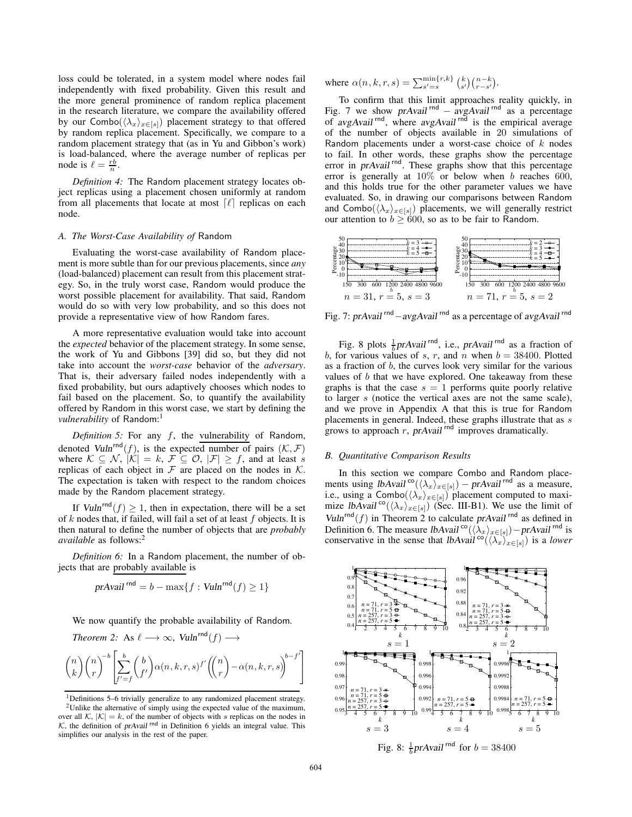loss could be tolerated, in a system model where nodes fail independently with fixed probability. Given this result and the more general prominence of random replica placement in the research literature, we compare the availability offered by our Combo $(\langle \lambda_x \rangle_{x \in [s]} )$  placement strategy to that offered by random replica placement. Specifically, we compare to a random placement strategy that (as in Yu and Gibbon's work) is load-balanced, where the average number of replicas per node is  $\ell = \frac{rb}{n}$ .

*Definition 4:* The Random placement strategy locates object replicas using a placement chosen uniformly at random from all placements that locate at most  $\lbrack \ell \rbrack$  replicas on each node.

#### *A. The Worst-Case Availability of* Random

Evaluating the worst-case availability of Random placement is more subtle than for our previous placements, since *any* (load-balanced) placement can result from this placement strategy. So, in the truly worst case, Random would produce the worst possible placement for availability. That said, Random would do so with very low probability, and so this does not provide a representative view of how Random fares.

A more representative evaluation would take into account the *expected* behavior of the placement strategy. In some sense, the work of Yu and Gibbons [39] did so, but they did not take into account the *worst-case* behavior of the *adversary*. That is, their adversary failed nodes independently with a fixed probability, but ours adaptively chooses which nodes to fail based on the placement. So, to quantify the availability offered by Random in this worst case, we start by defining the *vulnerability* of Random: 1

*Definition 5:* For any f, the vulnerability of Random, denoted Vuln<sup>rnd</sup> $(f)$ , is the expected number of pairs  $(K, \mathcal{F})$ where  $\mathcal{K} \subseteq \mathcal{N}$ ,  $|\mathcal{K}| = k$ ,  $\mathcal{F} \subseteq \mathcal{O}$ ,  $|\mathcal{F}| \geq f$ , and at least s replicas of each object in  $\mathcal F$  are placed on the nodes in  $\mathcal K$ . The expectation is taken with respect to the random choices made by the Random placement strategy.

If  $Vuln^{rnd}(f) \geq 1$ , then in expectation, there will be a set of k nodes that, if failed, will fail a set of at least f objects. It is then natural to define the number of objects that are *probably available* as follows:<sup>2</sup>

*Definition 6:* In a Random placement, the number of objects that are probably available is

$$
prAvail^{rnd} = b - \max\{f : Vuln^{rnd}(f) \ge 1\}
$$

We now quantify the probable availability of Random.

Theorem 2: As 
$$
\ell \to \infty
$$
,  $Vuln^{rnd}(f) \to$   
\n
$$
{\binom{n}{k}} {\binom{n}{r}}^{-b} \left[ \sum_{f'=f}^{b} {\binom{b}{f'}} \alpha(n, k, r, s)^{f'} \left( \binom{n}{r} - \alpha(n, k, r, s) \right)^{b-f'} \right]
$$

where 
$$
\alpha(n,k,r,s) = \sum_{s'=s}^{\min\{r,k\}} \binom{k}{s'} \binom{n-k}{r-s'}
$$
.

To confirm that this limit approaches reality quickly, in Fig. 7 we show prAvail rnd – avgAvail rnd as a percentage of avgAvail<sup> $\text{rnd}$ </sup>, where avgAvail<sup> $\text{rnd}$ </sup> is the empirical average of the number of objects available in 20 simulations of Random placements under a worst-case choice of  $k$  nodes to fail. In other words, these graphs show the percentage error in prAvail<sup>rnd</sup>. These graphs show that this percentage error is generally at  $10\%$  or below when b reaches 600, and this holds true for the other parameter values we have evaluated. So, in drawing our comparisons between Random and Combo $(\langle \lambda_x \rangle_{x \in [s]})$  placements, we will generally restrict our attention to  $b \ge 600$ , so as to be fair to Random.



Fig. 7: prAvail rnd−avgAvail rnd as a percentage of avgAvail rnd

Fig. 8 plots  $\frac{1}{b}$ prAvail<sup>rnd</sup>, i.e., prAvail<sup>rnd</sup> as a fraction of b, for various values of s, r, and n when  $b = 38400$ . Plotted as a fraction of  $b$ , the curves look very similar for the various values of  $b$  that we have explored. One takeaway from these graphs is that the case  $s = 1$  performs quite poorly relative to larger s (notice the vertical axes are not the same scale), and we prove in Appendix A that this is true for Random placements in general. Indeed, these graphs illustrate that as  $s$ grows to approach  $r$ , prAvail<sup> $rad$ </sup> improves dramatically.

### *B. Quantitative Comparison Results*

In this section we compare Combo and Random placements using  $lbA$ vail<sup>co</sup> $(\langle \lambda_x \rangle_{x \in [s]})$  – prAvail<sup>rnd</sup> as a measure, i.e., using a Combo $(\langle \lambda_x \rangle_{x \in [s]} )$  placement computed to maximize *lbAvail* <sup>co</sup>( $\langle \lambda_x \rangle_{x \in [s]}$ ) (Sec. III-B1). We use the limit of Vuln<sup>rnd</sup>(f) in Theorem 2 to calculate prAvail<sup>rnd</sup> as defined in Definition 6. The measure *lbAvail* <sup>co</sup>( $\langle \lambda_x \rangle_{x \in [s]}$ ) – prAvail<sup> rnd</sup> is conservative in the sense that  $lbA$ vail<sup>co</sup> $(\langle \lambda_x \rangle_{x \in [s]})$  is a *lower* 



Fig. 8:  $\frac{1}{b}$ prAvail<sup>rnd</sup> for  $b = 38400$ 

<sup>&</sup>lt;sup>1</sup>Definitions 5–6 trivially generalize to any randomized placement strategy. 2Unlike the alternative of simply using the expected value of the maximum, over all  $\mathcal{K}, |\mathcal{K}| = k$ , of the number of objects with s replicas on the nodes in  $K$ , the definition of prAvail rnd in Definition 6 yields an integral value. This simplifies our analysis in the rest of the paper.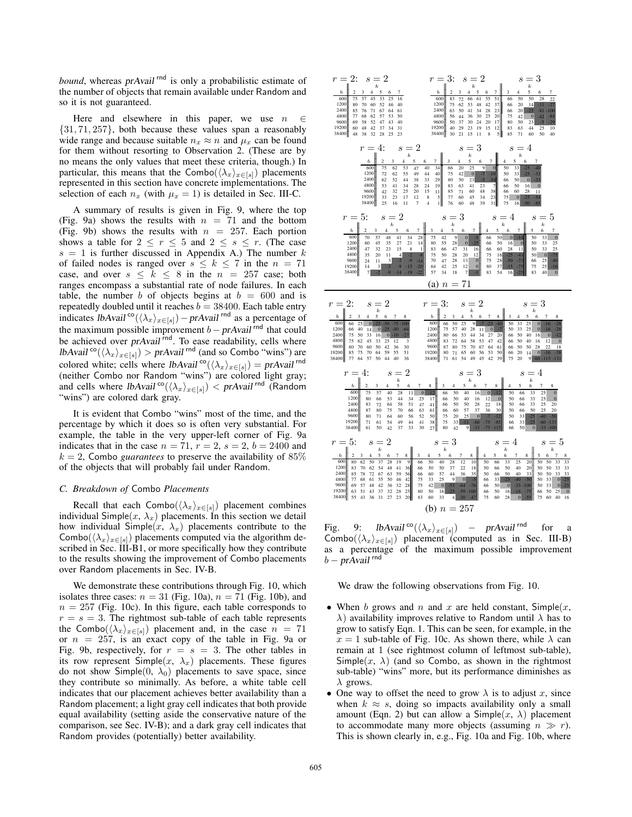*bound*, whereas prAvail<sup>rnd</sup> is only a probabilistic estimate of the number of objects that remain available under Random and so it is not guaranteed.

Here and elsewhere in this paper, we use  $n \in \mathbb{R}$ {31, 71, 257}, both because these values span a reasonably wide range and because suitable  $n_x \approx n$  and  $\mu_x$  can be found for them without resorting to Observation 2. (These are by no means the only values that meet these criteria, though.) In particular, this means that the Combo $(\langle \lambda_x \rangle_{x \in [s]})$  placements represented in this section have concrete implementations. The selection of each  $n_x$  (with  $\mu_x = 1$ ) is detailed in Sec. III-C.

A summary of results is given in Fig. 9, where the top (Fig. 9a) shows the results with  $n = 71$  and the bottom (Fig. 9b) shows the results with  $n = 257$ . Each portion shows a table for  $2 \le r \le 5$  and  $2 \le s \le r$ . (The case  $s = 1$  is further discussed in Appendix A.) The number k of failed nodes is ranged over  $s \leq k \leq 7$  in the  $n = 71$ case, and over  $s \leq k \leq 8$  in the  $n = 257$  case; both ranges encompass a substantial rate of node failures. In each table, the number b of objects begins at  $b = 600$  and is repeatedly doubled until it reaches  $b = 38400$ . Each table entry indicates lbAvail<sup>co</sup>( $\langle \lambda_x \rangle_{x \in [s]}$ ) – prAvail<sup>rnd</sup> as a percentage of the maximum possible improvement  $b - prAvail$ <sup>rnd</sup> that could be achieved over  $prAvail$ <sup>rnd</sup>. To ease readability, cells where *lbAvail* <sup>co</sup>( $\langle \lambda_x \rangle_{x \in [s]}$ ) > *prAvail* <sup>rnd</sup> (and so Combo "wins") are colored white; cells where *lbAvail* <sup>co</sup>( $\langle \lambda_x \rangle_{x \in [s]}$ ) = prAvail<sup>rnd</sup> (neither Combo nor Random "wins") are colored light gray; and cells where  $lb$ Avail<sup>co</sup> $(\langle \lambda_x \rangle_{x \in [s]})$  < prAvail<sup>rnd</sup> (Random "wins") are colored dark gray.

It is evident that Combo "wins" most of the time, and the percentage by which it does so is often very substantial. For example, the table in the very upper-left corner of Fig. 9a indicates that in the case  $n = 71$ ,  $r = 2$ ,  $s = 2$ ,  $b = 2400$  and  $k = 2$ , Combo *guarantees* to preserve the availability of 85% of the objects that will probably fail under Random.

#### *C. Breakdown of* Combo *Placements*

Recall that each Combo $(\langle \lambda_x \rangle_{x \in [s]})$  placement combines individual Simple $(x, \lambda_x)$  placements. In this section we detail how individual Simple $(x, \lambda_x)$  placements contribute to the Combo( $\langle \lambda_x \rangle_{x \in [s]}$ ) placements computed via the algorithm described in Sec. III-B1, or more specifically how they contribute to the results showing the improvement of Combo placements over Random placements in Sec. IV-B.

We demonstrate these contributions through Fig. 10, which isolates three cases:  $n = 31$  (Fig. 10a),  $n = 71$  (Fig. 10b), and  $n = 257$  (Fig. 10c). In this figure, each table corresponds to  $r = s = 3$ . The rightmost sub-table of each table represents the Combo( $\langle \lambda_x \rangle_{x \in [s]}$ ) placement and, in the case  $\overrightarrow{n} = 71$ or  $n = 257$ , is an exact copy of the table in Fig. 9a or Fig. 9b, respectively, for  $r = s = 3$ . The other tables in its row represent Simple $(x, \lambda_x)$  placements. These figures do not show Simple(0,  $\lambda_0$ ) placements to save space, since they contribute so minimally. As before, a white table cell indicates that our placement achieves better availability than a Random placement; a light gray cell indicates that both provide equal availability (setting aside the conservative nature of the comparison, see Sec. IV-B); and a dark gray cell indicates that Random provides (potentially) better availability.

| $\overline{2}$<br>3<br>2:<br>3:<br>2<br>S<br>$s =$<br>S<br>$\boldsymbol{k}$<br>$\boldsymbol{k}$<br>$\boldsymbol{k}$<br>3<br>4<br>5<br>$\overline{7}$<br>$\boldsymbol{b}$<br>b<br>3<br>$\overline{4}$<br>5<br>3<br>5<br>7<br>Ь<br>7<br>4<br>6<br>6<br>6<br>57<br>25<br>600<br>600<br>75<br>45<br>33<br>16<br>83<br>66<br>61<br>55<br>51<br>66<br>50<br>50<br>28<br>22<br>72<br>1200<br>1200<br>80<br>70<br>52<br>46<br>75<br>62<br>53<br>48<br>42<br>37<br>20<br>60<br>40<br>66<br>14<br>$-11$<br>$-27$<br>2400<br>2400<br>63<br>28<br>23<br>66<br>20<br>85<br>76<br>71<br>67<br>64<br>61<br>50<br>41<br>34<br>25<br>$-81$<br>$-100$<br>4800<br>4800<br>77<br>68<br>62<br>57<br>53<br>50<br>56<br>44<br>36<br>30<br>25<br>20<br>75<br>42<br>$\bf{0}$<br>$-42$<br>$-84$<br>9600<br>9600<br>69<br>58<br>52<br>47<br>43<br>40<br>50<br>37<br>30<br>24<br>20<br>17<br>80<br>50<br>23<br>$-5$<br>29<br>19200<br>42<br>19200<br>23<br>83<br>44<br>25<br>60<br>48<br>37<br>34<br>31<br>40<br>29<br>19<br>15<br>12<br>63<br>10<br>38400<br>38<br>32<br>28<br>25<br>23<br>38400<br>30<br>21<br>15<br>8<br>$\mathbf{5}$<br>85<br>60<br>50<br>40<br>48<br>11<br>71                                                                                                                                                                                                                                                                                                                                                                                       |
|----------------------------------------------------------------------------------------------------------------------------------------------------------------------------------------------------------------------------------------------------------------------------------------------------------------------------------------------------------------------------------------------------------------------------------------------------------------------------------------------------------------------------------------------------------------------------------------------------------------------------------------------------------------------------------------------------------------------------------------------------------------------------------------------------------------------------------------------------------------------------------------------------------------------------------------------------------------------------------------------------------------------------------------------------------------------------------------------------------------------------------------------------------------------------------------------------------------------------------------------------------------------------------------------------------------------------------------------------------------------------------------------------------------------------------------------------------------------------------------------------------------------------------------------|
| $\overline{2}$<br>3<br>$r=4$ :<br>$\overline{4}$<br>$s =$<br>S<br>$\boldsymbol{s}$<br>$=$<br>$=$<br>$\boldsymbol{k}$<br>$\boldsymbol{k}$<br>$\boldsymbol{k}$<br>5<br>$\mathcal{I}$<br>3<br>5<br>7<br>3<br>5<br>ħ<br>$\overline{4}$<br>6<br>6<br>7<br>$\overline{4}$<br>6<br>7<br>4<br>600<br>53<br>20<br>25<br>$-25$<br>$-40$<br>75<br>62<br>47<br>40<br>34<br>66<br>$\mathbf Q$<br>$\overline{0}$<br>50<br>33<br>1200<br>72<br>62<br>55<br>49<br>44<br>40<br>75<br>42<br>$-10$<br>50<br>33<br>$-25$<br>$-33$<br>$\Omega$<br>-7<br>2400<br>62<br>52<br>38<br>33<br>29<br>80<br>50<br>23<br>34<br>66<br>50<br>$\bf{0}$<br>$-33$<br>44<br>4800<br>53<br>34<br>24<br>19<br>41<br>23<br>50<br>41<br>28<br>83<br>63<br>7<br>16<br>$\theta$<br>66<br>9600<br>42<br>32<br>25<br>20<br>15<br>85<br>71<br>60<br>48<br>38<br>$11\,$<br>60<br>28<br>11<br>66<br>19200<br>33<br>23<br>17<br>12<br>8<br>77<br>60<br>45<br>34<br>23<br>75<br>$-25$<br>5<br>$\bf{0}$<br>38400<br>31<br>25<br>16<br>11<br>$\overline{7}$<br>$\overline{4}$<br>1 <sub>1</sub><br>76<br>60<br>48<br>39<br>75<br>16<br>50                                                                                                                                                                                                                                                                                                                                                                                                                                                       |
| $\overline{2}$<br>3<br>$r=5$ :<br>4<br>5<br>$s =$<br>$s =$<br>S<br>$=$<br>$s =$<br>k<br>k<br>k<br>$_{k}$<br>5<br>$\overline{7}$<br>5<br>$\overline{c}$<br>3<br>5<br>$\overline{7}$<br>3<br>7<br>5<br>6<br>$\overline{7}$<br>$\boldsymbol{b}$<br>$\overline{4}$<br>6<br>6<br>4<br>$\overline{4}$<br>6<br>600<br>70<br>57<br>48<br>41<br>34<br>28<br>75<br>9<br>$\overline{0}$<br>50<br>50<br>33<br>$\boldsymbol{0}$<br>42<br>66<br>-5<br>$\bf{0}$<br>$-14$<br>1200<br>80<br>55<br>28<br>$\mathbf{0}$<br>25<br>50<br>50<br>25<br>60<br>45<br>35<br>27<br>66<br>16<br>33<br>21<br>$\bf{0}$<br>14<br>2400<br>32<br>23<br>15<br>83<br>31<br>28<br>50<br>33<br>25<br>47<br>8<br>66<br>47<br>16<br>66<br>60<br>11<br>$\mathbf{1}$<br>4800<br>35<br>$\overline{4}$<br>75<br>50<br>12<br>75<br>$-41$<br>50<br>20<br>11<br>$\overline{2}$<br>$-8$<br>28<br>20<br>16<br>$-25$<br>$\overline{0}$<br>$-75$<br>9600<br>$-9$<br>24<br>11<br>3<br>$-14$<br>70<br>47<br>28<br>13<br>75<br>28<br>$-50$<br>$-73$<br>66<br>25<br>$-40$<br>$\overline{\mathbf{3}}$<br>$\bf{0}$<br>19200<br>3<br>$-9$<br>$-15$<br>42<br>37<br>75<br>25<br>14<br>$\overline{\mathbf{3}}$<br>$-20$<br>64<br>25<br>12<br>$\overline{0}$<br>80<br>$-15$<br>$-75$<br>$-16$<br>38400<br>$-14$<br>$-19$<br>$-22$<br>57<br>34<br>$\overline{7}$<br>7<br>$\overline{z}$<br>$-9$<br>18<br>$\overline{1}$<br>83<br>54<br>16<br>$-25$<br>83<br>40<br>$\mathbf{0}$<br>71<br>(a)<br>$\it n$<br>$=$                                                                                               |
| $\overline{2}$<br>3<br>2:<br>$\overline{2}$<br>3:<br>S<br>$\boldsymbol{r}$<br>S<br>S<br>$\!\!\!=\!\!\!\!$<br>$r =$<br>$=$<br>$=$<br>$=$<br>$\boldsymbol{k}$<br>$\boldsymbol{k}$<br>$\boldsymbol{k}$<br>5<br>5<br>6<br>7<br>$\mathbf{\hat{x}}$<br>b<br>٩<br>$\overline{A}$<br>6<br>7<br>$\mathbf{\hat{x}}$<br>٩<br>5<br>6<br>7<br>Ь<br>2<br>٩<br>$\Delta$<br>っ<br>$\Delta$<br>$\mathbf 8$<br>600<br>25<br>$-25$<br>$-50$<br>$-75$<br>$-100$<br>600<br>50<br>25<br>$-23$<br>$-40$<br>50<br>33<br>25<br>$-16$<br>$-28$<br>66<br>$\overline{0}$<br>66<br>9<br>$\overline{0}$<br>1200<br>1200<br>$-40$<br>57<br>50<br>33<br>66<br>40<br>14<br>$\vert 0 \vert$<br>$-25$<br>$-64$<br>75<br>40<br>28<br>11<br>$\overline{\mathbf{0}}$<br>25<br>$\bf{0}$<br>$-16$<br>$-28$<br>$-7$<br>2400<br>2400<br>80<br>34<br>20<br>50<br>75<br>50<br>33<br>16<br>$0 - 10$<br>27<br>66<br>53<br>44<br>27<br>66<br>40<br>16<br>$\bf{0}$<br>$-12$<br>4800<br>33<br>4800<br>53<br>50<br>75<br>62<br>45<br>25<br>12<br>3<br>83<br>72<br>64<br>58<br>47<br>42<br>66<br>40<br>16<br>12<br>$\bf{0}$<br>9600<br>9600<br>80<br>70<br>60<br>50<br>42<br>36<br>30<br>87<br>80<br>75<br>70<br>67<br>64<br>61<br>66<br>50<br>50<br>28<br>22<br>18<br>19200<br>19200<br>59<br>55<br>85<br>75<br>70<br>64<br>51<br>80<br>71<br>65<br>60<br>56<br>53<br>50<br>66<br>20<br>14<br>$\overline{0}$<br>$-16$<br>38<br>38400<br>57<br>44<br>40<br>38400<br>54<br>49<br>45<br>39<br>75<br>20<br>77<br>64<br>50<br>36<br>71<br>61<br>42<br>$\overline{9}$<br>$-66 - 115$                  |
| $\overline{2}$<br>3<br>$r=4$ :<br>$\overline{4}$<br>$\boldsymbol{s}$<br>$=$<br>$s =$<br>$\boldsymbol{s}$<br>$=$<br>$\boldsymbol{k}$<br>$\boldsymbol{k}$<br>$\boldsymbol{k}$<br>5<br>$\overline{c}$<br>5<br>6<br>6<br>b<br>6<br>7<br>8<br>3<br>$\overline{7}$<br>8<br>$\overline{4}$<br>5<br>7<br>3<br>4<br>4<br>8<br>600<br>75<br>57<br>40<br>28<br>66<br>50<br>40<br>16<br>50<br>66<br>33<br>25<br>11<br>$\bf{0}$<br>$-12$<br>$\boldsymbol{0}$<br>$\Omega$<br>$-12$<br>1200<br>80<br>66<br>53<br>44<br>34<br>25<br>17<br>66<br>50<br>40<br>16<br>12<br>50<br>66<br>33<br>25<br>$\mathbf{0}$<br>$\bf{0}$<br>2400<br>83<br>64<br>58<br>51<br>66<br>50<br>50<br>28<br>22<br>18<br>50<br>66<br>33<br>25<br>20<br>72<br>47<br>41<br>4800<br>87<br>75<br>70<br>63<br>61<br>60<br>57<br>37<br>30<br>50<br>66<br>50<br>25<br>20<br>80<br>66<br>66<br>36<br>9600<br>80<br>71<br>64<br>60<br>56<br>52<br>50<br>75<br>20<br>25<br>$\bf{0}$<br>$-7$<br>50<br>33<br>$-25$<br>40<br>$-12.$<br>$-50$<br>19200<br>71<br>61<br>54<br>49<br>44<br>41<br>38<br>75<br>33<br>$-11$<br>$-66$<br>$-75$<br>$-85$<br>66<br>33<br>25<br>$-60 - 133$<br>38400<br>61<br>50<br>42<br>37<br>33<br>30<br>$27\,$<br>80<br>42<br>$-33$<br>$-75$<br>115<br>66<br>50<br>$-33 - 100$<br>$\overline{9}$<br>$\boldsymbol{0}$                                                                                                                                                                                                                                                      |
| $\overline{2}$<br>3<br>5<br>$r=5$ :<br>$\overline{4}$<br>S<br>$\boldsymbol{s}$<br>$s =$<br>$s =$<br>$=$<br>$=$<br>$\boldsymbol{k}$<br>$\boldsymbol{k}$<br>k<br>k<br>5<br>5<br>5<br>$\overline{7}$<br>$\overline{c}$<br>$\overline{7}$<br>5<br>Ь<br>3<br>$\overline{4}$<br>6<br>7<br>8<br>3<br>$\overline{4}$<br>6<br>8<br>$\Delta$<br>6<br>7<br>8<br>6<br>8<br>600<br>80<br>62<br>50<br>37<br>28<br>19<br>$\overline{9}$<br>50<br>40<br>28<br>12<br>10<br>50<br>66<br>33<br>25<br>20<br>50<br>50<br>33<br>33<br>66<br>1200<br>70<br>54<br>48<br>50<br>37<br>22<br>50<br>50<br>40<br>20<br>50<br>50<br>33<br>33<br>83<br>62<br>41<br>36<br>66<br>50<br>18<br>66<br>2400<br>78<br>59<br>56<br>57<br>36<br>35<br>50<br>50<br>40<br>33<br>50<br>50<br>33<br>33<br>85<br>72<br>67<br>63<br>66<br>60<br>66<br>44<br>4800<br>77<br>61<br>55<br>50<br>46<br>75<br>33<br>25<br>9<br>$\bf{0}$<br>$-50$<br>50<br>33<br>$-25$<br>68<br>42<br>-5<br>66<br>33<br>25<br>40<br>$\bf{0}$<br>9600<br>57<br>48<br>36<br>32<br>28<br>75<br>$\bf{0}$<br>$-53$<br>$-64$<br>$-76$<br>50<br>$\boldsymbol{0}$<br>$-33$<br>100<br>50<br>33<br>$\bf{0}$<br>$-25$<br>69<br>42<br>42<br>66<br>19200<br>37<br>$25^{1}$<br>50<br>51<br>43<br>32<br>28<br>25<br>80<br>50<br>16<br>$-59$<br>100<br>50<br>16<br>$-14$<br>$-75$<br>25<br>$\mathbf{0}$<br>63<br>66<br>66<br>38400<br>43<br>36<br>31<br>27<br>23<br>20<br>33<br>$\overline{4}$<br>$-20$<br>75<br>28<br>$-55$<br>55<br>83<br>60<br>60<br>$\bf{0}$<br>75<br>60<br>40<br>16<br>257<br>(b)<br>$\boldsymbol{n}$<br>$=$ |

Fig. 9: IbAvail<sup>co</sup>( $\langle \lambda_x \rangle_{x \in [s]}$ ) – prAvail<sup>rnd</sup> for a Combo( $\langle \lambda_x \rangle_{x \in [s]}$ ) placement (computed as in Sec. III-B) as a percentage of the maximum possible improvement b − prAvail rnd

We draw the following observations from Fig. 10.

- When b grows and n and x are held constant,  $Simple(x,$  $\lambda$ ) availability improves relative to Random until  $\lambda$  has to grow to satisfy Eqn. 1. This can be seen, for example, in the  $x = 1$  sub-table of Fig. 10c. As shown there, while  $\lambda$  can remain at 1 (see rightmost column of leftmost sub-table), Simple $(x, \lambda)$  (and so Combo, as shown in the rightmost sub-table) "wins" more, but its performance diminishes as  $\lambda$  grows.
- One way to offset the need to grow  $\lambda$  is to adjust x, since when  $k \approx s$ , doing so impacts availability only a small amount (Eqn. 2) but can allow a  $Simple(x, \lambda)$  placement to accommodate many more objects (assuming  $n \gg r$ ). This is shown clearly in, e.g., Fig. 10a and Fig. 10b, where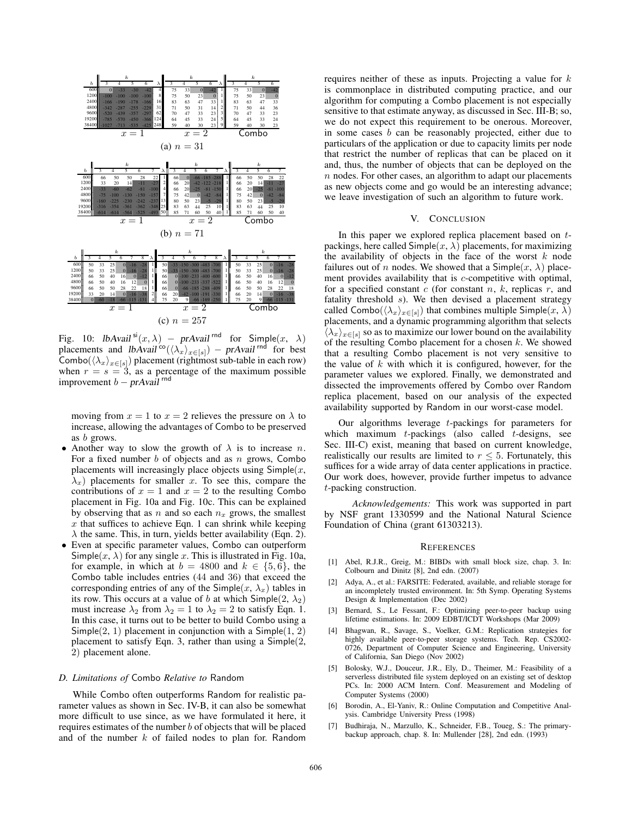

Fig. 10: *lbAvail*<sup>si</sup> $(x, \lambda)$  – *prAvail*<sup>rnd</sup> for Simple $(x, \lambda)$ placements and *lbAvail*<sup>co</sup>( $\langle \lambda_x \rangle_{x \in [s]}$ ) – prAvail<sup>rnd</sup> for best Combo( $\langle \lambda_x \rangle_{x \in [s]}$ ) placement (rightmost sub-table in each row) when  $r = s = 3$ , as a percentage of the maximum possible improvement  $b - prAvail$ <sup>rnd</sup>

moving from  $x = 1$  to  $x = 2$  relieves the pressure on  $\lambda$  to increase, allowing the advantages of Combo to be preserved as b grows.

- Another way to slow the growth of  $\lambda$  is to increase n. For a fixed number  $b$  of objects and as  $n$  grows, Combo placements will increasingly place objects using  $Simple(x,$  $\lambda_x$ ) placements for smaller x. To see this, compare the contributions of  $x = 1$  and  $x = 2$  to the resulting Combo placement in Fig. 10a and Fig. 10c. This can be explained by observing that as n and so each  $n_x$  grows, the smallest  $x$  that suffices to achieve Eqn. 1 can shrink while keeping  $\lambda$  the same. This, in turn, yields better availability (Eqn. 2).
- Even at specific parameter values, Combo can outperform Simple(x,  $\lambda$ ) for any single x. This is illustrated in Fig. 10a, for example, in which at  $b = 4800$  and  $k \in \{5, 6\}$ , the Combo table includes entries (44 and 36) that exceed the corresponding entries of any of the Simple $(x, \lambda_x)$  tables in its row. This occurs at a value of b at which Simple(2,  $\lambda_2$ ) must increase  $\lambda_2$  from  $\lambda_2 = 1$  to  $\lambda_2 = 2$  to satisfy Eqn. 1. In this case, it turns out to be better to build Combo using a Simple(2, 1) placement in conjunction with a Simple(1, 2) placement to satisfy Eqn. 3, rather than using a Simple(2, 2) placement alone.

#### *D. Limitations of* Combo *Relative to* Random

While Combo often outperforms Random for realistic parameter values as shown in Sec. IV-B, it can also be somewhat more difficult to use since, as we have formulated it here, it requires estimates of the number b of objects that will be placed and of the number  $k$  of failed nodes to plan for. Random requires neither of these as inputs. Projecting a value for  $k$ is commonplace in distributed computing practice, and our algorithm for computing a Combo placement is not especially sensitive to that estimate anyway, as discussed in Sec. III-B; so, we do not expect this requirement to be onerous. Moreover, in some cases  $b$  can be reasonably projected, either due to particulars of the application or due to capacity limits per node that restrict the number of replicas that can be placed on it and, thus, the number of objects that can be deployed on the  $n$  nodes. For other cases, an algorithm to adapt our placements as new objects come and go would be an interesting advance; we leave investigation of such an algorithm to future work.

# V. CONCLUSION

In this paper we explored replica placement based on  $t$ packings, here called Simple $(x, \lambda)$  placements, for maximizing the availability of objects in the face of the worst  $k$  node failures out of n nodes. We showed that a Simple $(x, \lambda)$  placement provides availability that is  $c$ -competitive with optimal, for a specified constant  $c$  (for constant  $n$ ,  $k$ , replicas  $r$ , and fatality threshold s). We then devised a placement strategy called Combo $(\langle \lambda_x \rangle_{x \in [s]} )$  that combines multiple Simple $(x, \lambda)$ placements, and a dynamic programming algorithm that selects  $\langle \lambda_x \rangle_{x \in [s]}$  so as to maximize our lower bound on the availability of the resulting Combo placement for a chosen  $k$ . We showed that a resulting Combo placement is not very sensitive to the value of  $k$  with which it is configured, however, for the parameter values we explored. Finally, we demonstrated and dissected the improvements offered by Combo over Random replica placement, based on our analysis of the expected availability supported by Random in our worst-case model.

Our algorithms leverage  $t$ -packings for parameters for which maximum  $t$ -packings (also called  $t$ -designs, see Sec. III-C) exist, meaning that based on current knowledge, realistically our results are limited to  $r \leq 5$ . Fortunately, this suffices for a wide array of data center applications in practice. Our work does, however, provide further impetus to advance t-packing construction.

*Acknowledgements:* This work was supported in part by NSF grant 1330599 and the National Natural Science Foundation of China (grant 61303213).

#### **REFERENCES**

- [1] Abel, R.J.R., Greig, M.: BIBDs with small block size, chap. 3. In: Colbourn and Dinitz [8], 2nd edn. (2007)
- [2] Adya, A., et al.: FARSITE: Federated, available, and reliable storage for an incompletely trusted environment. In: 5th Symp. Operating Systems Design & Implementation (Dec 2002)
- [3] Bernard, S., Le Fessant, F.: Optimizing peer-to-peer backup using lifetime estimations. In: 2009 EDBT/ICDT Workshops (Mar 2009)
- [4] Bhagwan, R., Savage, S., Voelker, G.M.: Replication strategies for highly available peer-to-peer storage systems. Tech. Rep. CS2002- 0726, Department of Computer Science and Engineering, University of California, San Diego (Nov 2002)
- [5] Bolosky, W.J., Douceur, J.R., Ely, D., Theimer, M.: Feasibility of a serverless distributed file system deployed on an existing set of desktop PCs. In: 2000 ACM Intern. Conf. Measurement and Modeling of Computer Systems (2000)
- [6] Borodin, A., El-Yaniv, R.: Online Computation and Competitive Analysis. Cambridge University Press (1998)
- [7] Budhiraja, N., Marzullo, K., Schneider, F.B., Toueg, S.: The primarybackup approach, chap. 8. In: Mullender [28], 2nd edn. (1993)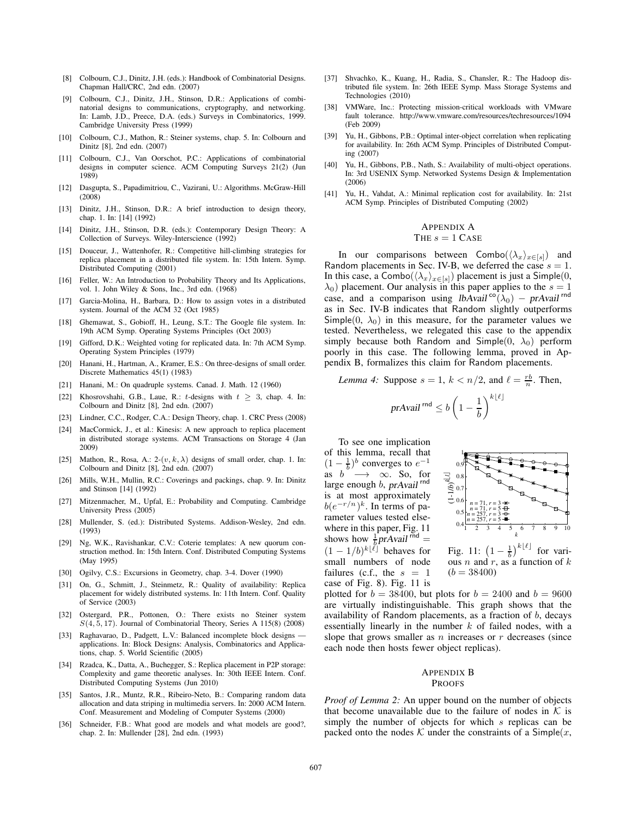- [8] Colbourn, C.J., Dinitz, J.H. (eds.): Handbook of Combinatorial Designs. Chapman Hall/CRC, 2nd edn. (2007)
- [9] Colbourn, C.J., Dinitz, J.H., Stinson, D.R.: Applications of combinatorial designs to communications, cryptography, and networking. In: Lamb, J.D., Preece, D.A. (eds.) Surveys in Combinatorics, 1999. Cambridge University Press (1999)
- [10] Colbourn, C.J., Mathon, R.: Steiner systems, chap. 5. In: Colbourn and Dinitz [8], 2nd edn. (2007)
- [11] Colbourn, C.J., Van Oorschot, P.C.: Applications of combinatorial designs in computer science. ACM Computing Surveys 21(2) (Jun 1989)
- [12] Dasgupta, S., Papadimitriou, C., Vazirani, U.: Algorithms. McGraw-Hill (2008)
- [13] Dinitz, J.H., Stinson, D.R.: A brief introduction to design theory, chap. 1. In: [14] (1992)
- [14] Dinitz, J.H., Stinson, D.R. (eds.): Contemporary Design Theory: A Collection of Surveys. Wiley-Interscience (1992)
- [15] Douceur, J., Wattenhofer, R.: Competitive hill-climbing strategies for replica placement in a distributed file system. In: 15th Intern. Symp. Distributed Computing (2001)
- [16] Feller, W.: An Introduction to Probability Theory and Its Applications, vol. 1. John Wiley & Sons, Inc., 3rd edn. (1968)
- [17] Garcia-Molina, H., Barbara, D.: How to assign votes in a distributed system. Journal of the ACM 32 (Oct 1985)
- [18] Ghemawat, S., Gobioff, H., Leung, S.T.: The Google file system. In: 19th ACM Symp. Operating Systems Principles (Oct 2003)
- [19] Gifford, D.K.: Weighted voting for replicated data. In: 7th ACM Symp. Operating System Principles (1979)
- [20] Hanani, H., Hartman, A., Kramer, E.S.: On three-designs of small order. Discrete Mathematics 45(1) (1983)
- [21] Hanani, M.: On quadruple systems. Canad. J. Math. 12 (1960)
- [22] Khosrovshahi, G.B., Laue, R.: t-designs with  $t \geq 3$ , chap. 4. In: Colbourn and Dinitz [8], 2nd edn. (2007)
- [23] Lindner, C.C., Rodger, C.A.: Design Theory, chap. 1. CRC Press (2008)
- [24] MacCormick, J., et al.: Kinesis: A new approach to replica placement in distributed storage systems. ACM Transactions on Storage 4 (Jan 2009)
- [25] Mathon, R., Rosa, A.: 2- $(v, k, \lambda)$  designs of small order, chap. 1. In: Colbourn and Dinitz [8], 2nd edn. (2007)
- [26] Mills, W.H., Mullin, R.C.: Coverings and packings, chap. 9. In: Dinitz and Stinson [14] (1992)
- [27] Mitzenmacher, M., Upfal, E.: Probability and Computing. Cambridge University Press (2005)
- [28] Mullender, S. (ed.): Distributed Systems. Addison-Wesley, 2nd edn. (1993)
- [29] Ng, W.K., Ravishankar, C.V.: Coterie templates: A new quorum construction method. In: 15th Intern. Conf. Distributed Computing Systems (May 1995)
- [30] Ogilvy, C.S.: Excursions in Geometry, chap. 3-4. Dover (1990)
- [31] On, G., Schmitt, J., Steinmetz, R.: Quality of availability: Replica placement for widely distributed systems. In: 11th Intern. Conf. Quality of Service (2003)
- [32] Ostergard, P.R., Pottonen, O.: There exists no Steiner system  $S(4, 5, 17)$ . Journal of Combinatorial Theory, Series A 115(8) (2008)
- [33] Raghavarao, D., Padgett, L.V.: Balanced incomplete block designs applications. In: Block Designs: Analysis, Combinatorics and Applications, chap. 5. World Scientific (2005)
- [34] Rzadca, K., Datta, A., Buchegger, S.: Replica placement in P2P storage: Complexity and game theoretic analyses. In: 30th IEEE Intern. Conf. Distributed Computing Systems (Jun 2010)
- [35] Santos, J.R., Muntz, R.R., Ribeiro-Neto, B.: Comparing random data allocation and data striping in multimedia servers. In: 2000 ACM Intern. Conf. Measurement and Modeling of Computer Systems (2000)
- [36] Schneider, F.B.: What good are models and what models are good?, chap. 2. In: Mullender [28], 2nd edn. (1993)
- [37] Shvachko, K., Kuang, H., Radia, S., Chansler, R.: The Hadoop distributed file system. In: 26th IEEE Symp. Mass Storage Systems and Technologies (2010)
- [38] VMWare, Inc.: Protecting mission-critical workloads with VMware fault tolerance. http://www.vmware.com/resources/techresources/1094 (Feb 2009)
- [39] Yu, H., Gibbons, P.B.: Optimal inter-object correlation when replicating for availability. In: 26th ACM Symp. Principles of Distributed Computing (2007)
- [40] Yu, H., Gibbons, P.B., Nath, S.: Availability of multi-object operations. In: 3rd USENIX Symp. Networked Systems Design & Implementation (2006)
- [41] Yu, H., Vahdat, A.: Minimal replication cost for availability. In: 21st ACM Symp. Principles of Distributed Computing (2002)

# APPENDIX A THE  $s = 1$  CASE

In our comparisons between Combo $(\langle \lambda_x \rangle_{x \in [s]})$  and Random placements in Sec. IV-B, we deferred the case  $s = 1$ . In this case, a Combo $(\langle \lambda_x \rangle_{x \in [s]})$  placement is just a Simple(0,  $\lambda_0$ ) placement. Our analysis in this paper applies to the  $s = 1$ case, and a comparison using  $lb\overline{Avail}^{\text{co}}(\lambda_0)$  – prAvail<sup>rnd</sup> as in Sec. IV-B indicates that Random slightly outperforms Simple(0,  $\lambda_0$ ) in this measure, for the parameter values we tested. Nevertheless, we relegated this case to the appendix simply because both Random and Simple(0,  $\lambda_0$ ) perform poorly in this case. The following lemma, proved in Appendix B, formalizes this claim for Random placements.

*Lemma 4:* Suppose  $s = 1$ ,  $k < n/2$ , and  $\ell = \frac{rb}{n}$ . Then,

$$
\text{prAvail}^{\text{rnd}} \le b \left(1 - \frac{1}{b}\right)^{k \lfloor \ell \rfloor}
$$

To see one implication of this lemma, recall that  $(1 - \frac{1}{b})^b$  converges to  $e^{-1}$ as  $b \longrightarrow \infty$ . So, for large enough b, prAvail<sup>rnd</sup> is at most approximately  $b(e^{-r/n})^k$ . In terms of parameter values tested elsewhere in this paper, Fig. 11 shows how  $\frac{1}{b}$  prAvail<sup>rnd</sup> =  $(1 - 1/b)^{k\lfloor \ell \rfloor}$  behaves for small numbers of node failures (c.f., the  $s = 1$ case of Fig. 8). Fig. 11 is



Fig. 11:  $\left(1-\frac{1}{b}\right)^{k\lfloor \ell \rfloor}$  for various *n* and *r*, as a function of  $k$  $(b = 38400)$ 

plotted for  $b = 38400$ , but plots for  $b = 2400$  and  $b = 9600$ are virtually indistinguishable. This graph shows that the availability of Random placements, as a fraction of  $b$ , decays essentially linearly in the number  $k$  of failed nodes, with a slope that grows smaller as  $n$  increases or  $r$  decreases (since each node then hosts fewer object replicas).

# APPENDIX B

# PROOFS

*Proof of Lemma 2:* An upper bound on the number of objects that become unavailable due to the failure of nodes in  $K$  is simply the number of objects for which s replicas can be packed onto the nodes K under the constraints of a Simple $(x,$